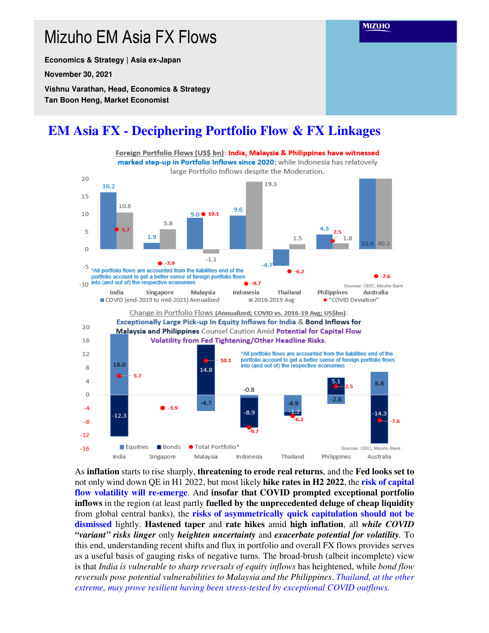# Mizuho EM Asia FX Flows

**Economics & Strategy | Asia ex-Japan** 

**November 30, 2021** 

**Vishnu Varathan, Head, Economics & Strategy Tan Boon Heng, Market Economist** 

## **EM Asia FX - Deciphering Portfolio Flow & FX Linkages**



As **inflation** starts to rise sharply, **threatening to erode real returns**, and the **Fed looks set to** not only wind down QE in H1 2022, but most likely **hike rates in H2 2022**, the **risk of capital flow volatility will re-emerge**. And **insofar that COVID prompted exceptional portfolio inflows** in the region (at least partly **fuelled by the unprecedented deluge of cheap liquidity** from global central banks), the **risks of asymmetrically quick capitulation should not be dismissed** lightly. **Hastened taper** and **rate hikes** amid **high inflation**, all *while COVID "variant" risks linger* only *heighten uncertainty* and *exacerbate potential for volatility.* To this end, understanding recent shifts and flux in portfolio and overall FX flows provides serves as a useful basis of gauging risks of negative turns. The broad-brush (albeit incomplete) view is that *India is vulnerable to sharp reversals of equity inflows* has heightened, while *bond flow reversals pose potential vulnerabilities to Malaysia and the Philippines*. *Thailand, at the other extreme, may prove resilient having been stress-tested by exceptional COVID outflows.*

**MIZUHO**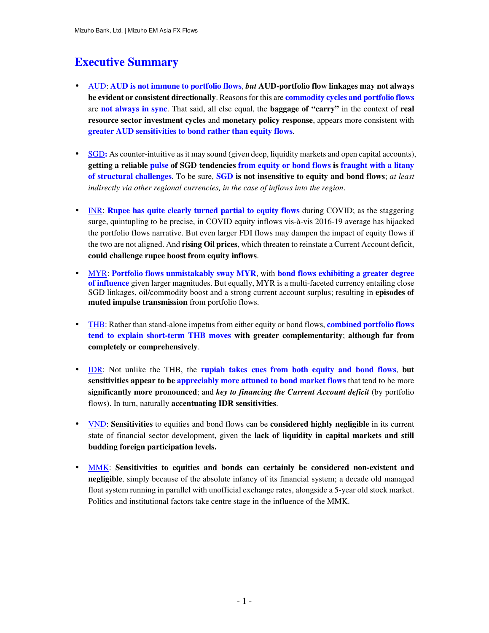### **Executive Summary**

- AUD: **AUD is not immune to portfolio flows**, *but* **AUD-portfolio flow linkages may not always be evident or consistent directionally**. Reasons for this are **commodity cycles and portfolio flows** are **not always in sync**. That said, all else equal, the **baggage of "carry"** in the context of **real resource sector investment cycles** and **monetary policy response**, appears more consistent with **greater AUD sensitivities to bond rather than equity flows**.
- SGD: As counter-intuitive as it may sound (given deep, liquidity markets and open capital accounts), **getting a reliable pulse of SGD tendencies from equity or bond flows is fraught with a litany of structural challenges**. To be sure, **SGD is not insensitive to equity and bond flows**; *at least indirectly via other regional currencies, in the case of inflows into the region*.
- INR: **Rupee has quite clearly turned partial to equity flows** during COVID; as the staggering surge, quintupling to be precise, in COVID equity inflows vis-à-vis 2016-19 average has hijacked the portfolio flows narrative. But even larger FDI flows may dampen the impact of equity flows if the two are not aligned. And **rising Oil prices**, which threaten to reinstate a Current Account deficit, **could challenge rupee boost from equity inflows**.
- MYR: **Portfolio flows unmistakably sway MYR**, with **bond flows exhibiting a greater degree of influence** given larger magnitudes. But equally, MYR is a multi-faceted currency entailing close SGD linkages, oil/commodity boost and a strong current account surplus; resulting in **episodes of muted impulse transmission** from portfolio flows.
- THB: Rather than stand-alone impetus from either equity or bond flows, **combined portfolio flows tend to explain short-term THB moves with greater complementarity**; **although far from completely or comprehensively**.
- IDR: Not unlike the THB, the **rupiah takes cues from both equity and bond flows**, **but sensitivities appear to be appreciably more attuned to bond market flows** that tend to be more **significantly more pronounced**; and *key to financing the Current Account deficit* (by portfolio flows). In turn, naturally **accentuating IDR sensitivities**.
- VND: **Sensitivities** to equities and bond flows can be **considered highly negligible** in its current state of financial sector development, given the **lack of liquidity in capital markets and still budding foreign participation levels.**
- MMK: **Sensitivities to equities and bonds can certainly be considered non-existent and negligible**, simply because of the absolute infancy of its financial system; a decade old managed float system running in parallel with unofficial exchange rates, alongside a 5-year old stock market. Politics and institutional factors take centre stage in the influence of the MMK.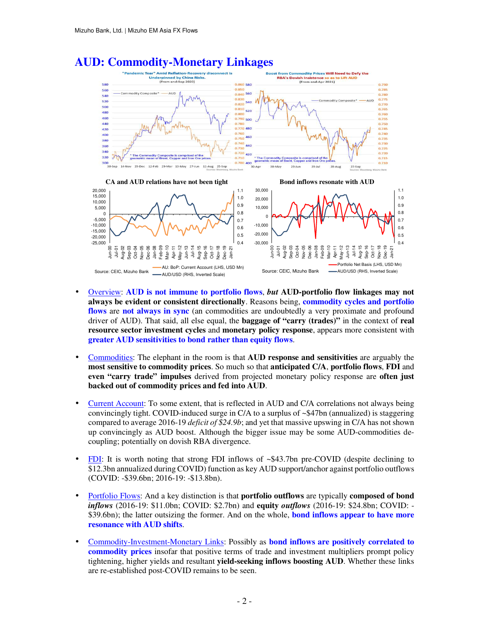

#### **AUD: Commodity-Monetary Linkages**

- Overview: **AUD is not immune to portfolio flows**, *but* **AUD-portfolio flow linkages may not always be evident or consistent directionally**. Reasons being, **commodity cycles and portfolio flows** are **not always in sync** (an commodities are undoubtedly a very proximate and profound driver of AUD). That said, all else equal, the **baggage of "carry (trades)"** in the context of **real resource sector investment cycles** and **monetary policy response**, appears more consistent with **greater AUD sensitivities to bond rather than equity flows**.
- Commodities: The elephant in the room is that **AUD response and sensitivities** are arguably the **most sensitive to commodity prices**. So much so that **anticipated C/A**, **portfolio flows**, **FDI** and **even "carry trade" impulses** derived from projected monetary policy response are **often just backed out of commodity prices and fed into AUD**.
- Current Account: To some extent, that is reflected in AUD and C/A correlations not always being convincingly tight. COVID-induced surge in  $C/A$  to a surplus of  $\sim$ \$47bn (annualized) is staggering compared to average 2016-19 *deficit of \$24.9b*; and yet that massive upswing in C/A has not shown up convincingly as AUD boost. Although the bigger issue may be some AUD-commodities decoupling; potentially on dovish RBA divergence.
- FDI: It is worth noting that strong FDI inflows of ~\$43.7bn pre-COVID (despite declining to \$12.3bn annualized during COVID) function as key AUD support/anchor against portfolio outflows (COVID: -\$39.6bn; 2016-19: -\$13.8bn).
- Portfolio Flows: And a key distinction is that **portfolio outflows** are typically **composed of bond**  *inflows* (2016-19: \$11.0bn; COVID: \$2.7bn) and **equity** *outflows* (2016-19: \$24.8bn; COVID: - \$39.6bn); the latter outsizing the former. And on the whole, **bond inflows appear to have more resonance with AUD shifts**.
- Commodity-Investment-Monetary Links: Possibly as **bond inflows are positively correlated to commodity prices** insofar that positive terms of trade and investment multipliers prompt policy tightening, higher yields and resultant **yield-seeking inflows boosting AUD**. Whether these links are re-established post-COVID remains to be seen.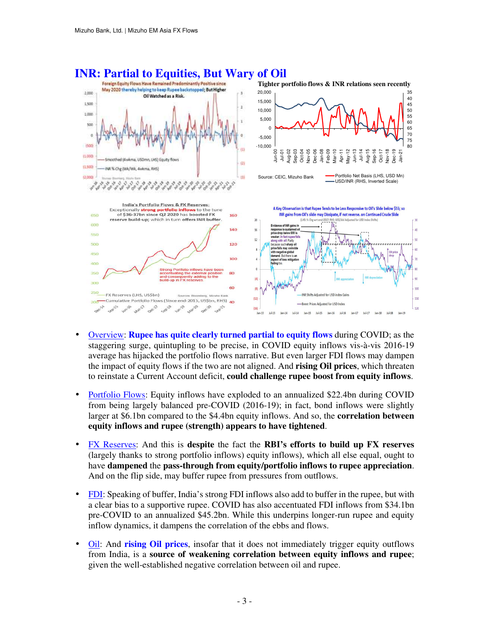

- Overview: **Rupee has quite clearly turned partial to equity flows** during COVID; as the staggering surge, quintupling to be precise, in COVID equity inflows vis-à-vis 2016-19 average has hijacked the portfolio flows narrative. But even larger FDI flows may dampen the impact of equity flows if the two are not aligned. And **rising Oil prices**, which threaten to reinstate a Current Account deficit, **could challenge rupee boost from equity inflows**.
- Portfolio Flows: Equity inflows have exploded to an annualized \$22.4bn during COVID from being largely balanced pre-COVID (2016-19); in fact, bond inflows were slightly larger at \$6.1bn compared to the \$4.4bn equity inflows. And so, the **correlation between equity inflows and rupee (strength) appears to have tightened**.
- FX Reserves: And this is **despite** the fact the **RBI's efforts to build up FX reserves** (largely thanks to strong portfolio inflows) equity inflows), which all else equal, ought to have **dampened** the **pass-through from equity/portfolio inflows to rupee appreciation**. And on the flip side, may buffer rupee from pressures from outflows.
- FDI: Speaking of buffer, India's strong FDI inflows also add to buffer in the rupee, but with a clear bias to a supportive rupee. COVID has also accentuated FDI inflows from \$34.1bn pre-COVID to an annualized \$45.2bn. While this underpins longer-run rupee and equity inflow dynamics, it dampens the correlation of the ebbs and flows.
- Oil: And **rising Oil prices**, insofar that it does not immediately trigger equity outflows from India, is a **source of weakening correlation between equity inflows and rupee**; given the well-established negative correlation between oil and rupee.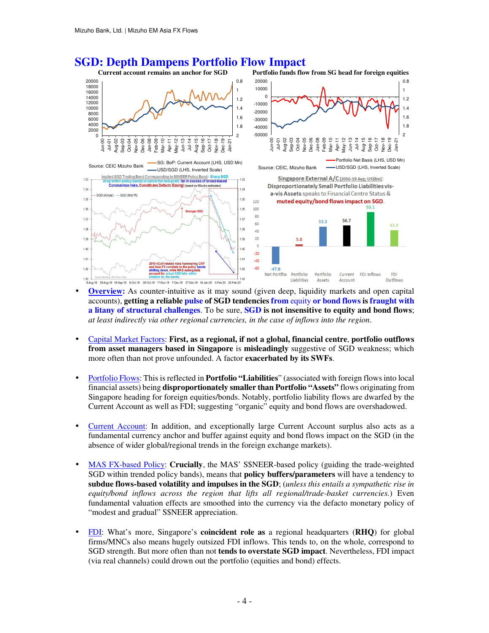

# **SGD: Depth Dampens Portfolio Flow Impact**<br>
Current account remains an anchor for SGD Portfolio funds flow

- **Overview:** As counter-intuitive as it may sound (given deep, liquidity markets and open capital accounts), **getting a reliable pulse of SGD tendencies from** equity **or bond flows is fraught with a litany of structural challenges**. To be sure, **SGD is not insensitive to equity and bond flows**; *at least indirectly via other regional currencies, in the case of inflows into the region*.
- Capital Market Factors: **First, as a regional, if not a global, financial centre**, **portfolio outflows from asset managers based in Singapore** is **misleadingly** suggestive of SGD weakness; which more often than not prove unfounded. A factor **exacerbated by its SWFs**.
- Portfolio Flows: This is reflected in **Portfolio "Liabilities**" (associated with foreign flows into local financial assets) being **disproportionately smaller than Portfolio "Assets"** flows originating from Singapore heading for foreign equities/bonds. Notably, portfolio liability flows are dwarfed by the Current Account as well as FDI; suggesting "organic" equity and bond flows are overshadowed.
- Current Account: In addition, and exceptionally large Current Account surplus also acts as a fundamental currency anchor and buffer against equity and bond flows impact on the SGD (in the absence of wider global/regional trends in the foreign exchange markets).
- MAS FX-based Policy: **Crucially**, the MAS' S\$NEER-based policy (guiding the trade-weighted SGD within trended policy bands), means that **policy buffers/parameters** will have a tendency to **subdue flows-based volatility and impulses in the SGD**; (*unless this entails a sympathetic rise in equity/bond inflows across the region that lifts all regional/trade-basket currencies.*) Even fundamental valuation effects are smoothed into the currency via the defacto monetary policy of "modest and gradual" S\$NEER appreciation.
- FDI: What's more, Singapore's **coincident role as** a regional headquarters (**RHQ**) for global firms/MNCs also means hugely outsized FDI inflows. This tends to, on the whole, correspond to SGD strength. But more often than not **tends to overstate SGD impact**. Nevertheless, FDI impact (via real channels) could drown out the portfolio (equities and bond) effects.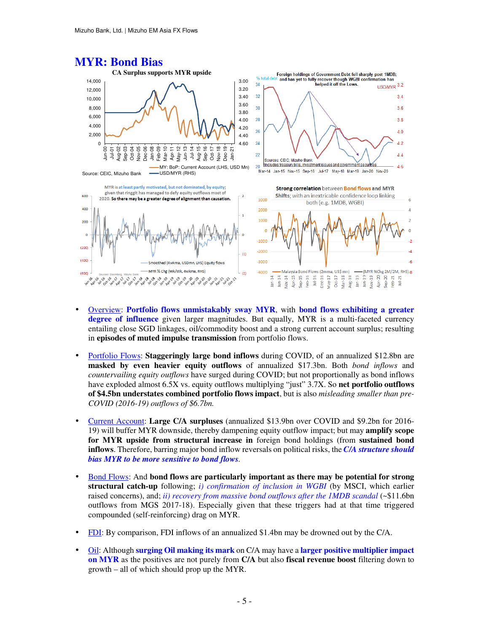

- Overview: **Portfolio flows unmistakably sway MYR**, with **bond flows exhibiting a greater degree of influence** given larger magnitudes. But equally, MYR is a multi-faceted currency entailing close SGD linkages, oil/commodity boost and a strong current account surplus; resulting in **episodes of muted impulse transmission** from portfolio flows.
- Portfolio Flows: **Staggeringly large bond inflows** during COVID, of an annualized \$12.8bn are **masked by even heavier equity outflows** of annualized \$17.3bn. Both *bond inflows* and *countervailing equity outflows* have surged during COVID; but not proportionally as bond inflows have exploded almost 6.5X vs. equity outflows multiplying "just" 3.7X. So **net portfolio outflows of \$4.5bn understates combined portfolio flows impact**, but is also *misleading smaller than pre-COVID (2016-19) outflows of \$6.7bn.*
- Current Account: **Large C/A surpluses** (annualized \$13.9bn over COVID and \$9.2bn for 2016- 19) will buffer MYR downside, thereby dampening equity outflow impact; but may **amplify scope for MYR upside from structural increase in** foreign bond holdings (from **sustained bond inflows**. Therefore, barring major bond inflow reversals on political risks, the *C/A structure should bias MYR to be more sensitive to bond flows.*
- Bond Flows: And **bond flows are particularly important as there may be potential for strong structural catch-up** following; *i) confirmation of inclusion in WGBI* (by MSCI, which earlier raised concerns), and; *ii) recovery from massive bond outflows after the 1MDB scandal* (~\$11.6bn outflows from MGS 2017-18). Especially given that these triggers had at that time triggered compounded (self-reinforcing) drag on MYR.
- FDI: By comparison, FDI inflows of an annualized \$1.4bn may be drowned out by the C/A.
- Oil: Although **surging Oil making its mark** on C/A may have a **larger positive multiplier impact on MYR** as the positives are not purely from **C/A** but also **fiscal revenue boost** filtering down to growth – all of which should prop up the MYR.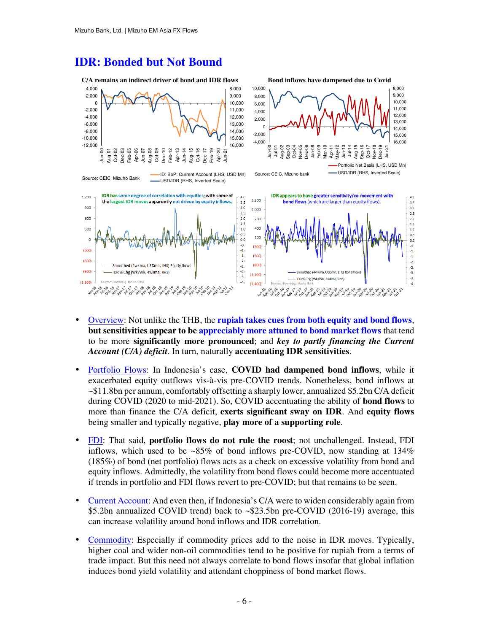#### **IDR: Bonded but Not Bound**



- Overview: Not unlike the THB, the **rupiah takes cues from both equity and bond flows**, **but sensitivities appear to be appreciably more attuned to bond market flows** that tend to be more **significantly more pronounced**; and *key to partly financing the Current Account (C/A) deficit*. In turn, naturally **accentuating IDR sensitivities**.
- Portfolio Flows: In Indonesia's case, **COVID had dampened bond inflows**, while it exacerbated equity outflows vis-à-vis pre-COVID trends. Nonetheless, bond inflows at ~\$11.8bn per annum, comfortably offsetting a sharply lower, annualized \$5.2bn C/A deficit during COVID (2020 to mid-2021). So, COVID accentuating the ability of **bond flows** to more than finance the C/A deficit, **exerts significant sway on IDR**. And **equity flows** being smaller and typically negative, **play more of a supporting role**.
- FDI: That said, **portfolio flows do not rule the roost**; not unchallenged. Instead, FDI inflows, which used to be  $\sim 85\%$  of bond inflows pre-COVID, now standing at 134% (185%) of bond (net portfolio) flows acts as a check on excessive volatility from bond and equity inflows. Admittedly, the volatility from bond flows could become more accentuated if trends in portfolio and FDI flows revert to pre-COVID; but that remains to be seen.
- Current Account: And even then, if Indonesia's C/A were to widen considerably again from \$5.2bn annualized COVID trend) back to ~\$23.5bn pre-COVID (2016-19) average, this can increase volatility around bond inflows and IDR correlation.
- Commodity: Especially if commodity prices add to the noise in IDR moves. Typically, higher coal and wider non-oil commodities tend to be positive for rupiah from a terms of trade impact. But this need not always correlate to bond flows insofar that global inflation induces bond yield volatility and attendant choppiness of bond market flows.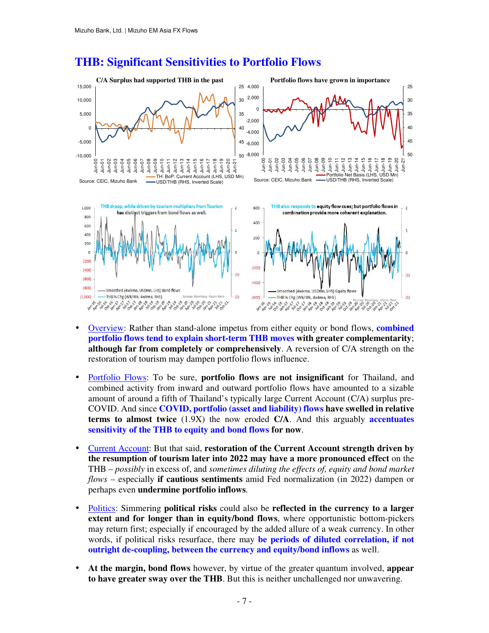

#### **THB: Significant Sensitivities to Portfolio Flows**

- Overview: Rather than stand-alone impetus from either equity or bond flows, **combined portfolio flows tend to explain short-term THB moves with greater complementarity**; **although far from completely or comprehensively**. A reversion of C/A strength on the restoration of tourism may dampen portfolio flows influence.
- Portfolio Flows: To be sure, **portfolio flows are not insignificant** for Thailand, and combined activity from inward and outward portfolio flows have amounted to a sizable amount of around a fifth of Thailand's typically large Current Account (C/A) surplus pre-COVID. And since **COVID, portfolio (asset and liability) flows have swelled in relative terms to almost twice** (1.9X) the now eroded **C/A**. And this arguably **accentuates sensitivity of the THB to equity and bond flows for now**.
- Current Account: But that said, **restoration of the Current Account strength driven by the resumption of tourism later into 2022 may have a more pronounced effect** on the THB – *possibly* in excess of, and *sometimes diluting the effects of, equity and bond market flows* – especially **if cautious sentiments** amid Fed normalization (in 2022) dampen or perhaps even **undermine portfolio inflows**.
- Politics: Simmering **political risks** could also be **reflected in the currency to a larger extent and for longer than in equity/bond flows**, where opportunistic bottom-pickers may return first; especially if encouraged by the added allure of a weak currency. In other words, if political risks resurface, there may **be periods of diluted correlation, if not outright de-coupling, between the currency and equity/bond inflows** as well.
- **At the margin, bond flows** however, by virtue of the greater quantum involved, **appear to have greater sway over the THB**. But this is neither unchallenged nor unwavering.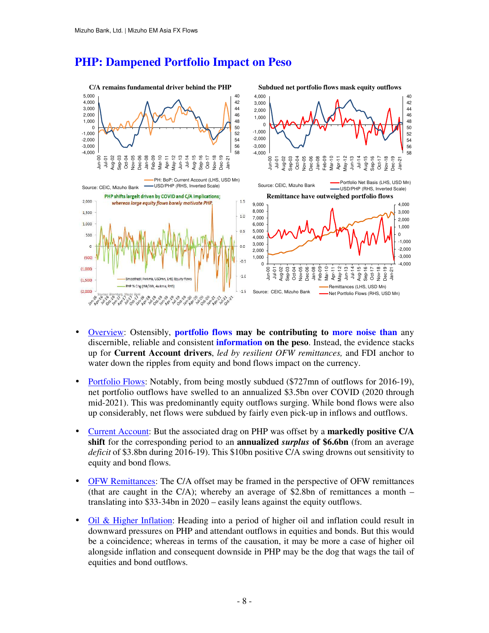## **PHP: Dampened Portfolio Impact on Peso**



- Overview: Ostensibly, **portfolio flows may be contributing to more noise than** any discernible, reliable and consistent **information on the peso**. Instead, the evidence stacks up for **Current Account drivers**, *led by resilient OFW remittances,* and FDI anchor to water down the ripples from equity and bond flows impact on the currency.
- Portfolio Flows: Notably, from being mostly subdued (\$727mn of outflows for 2016-19), net portfolio outflows have swelled to an annualized \$3.5bn over COVID (2020 through mid-2021). This was predominantly equity outflows surging. While bond flows were also up considerably, net flows were subdued by fairly even pick-up in inflows and outflows.
- Current Account: But the associated drag on PHP was offset by a **markedly positive C/A shift** for the corresponding period to an **annualized** *surplus* **of \$6.6bn** (from an average *deficit* of \$3.8bn during 2016-19). This \$10bn positive C/A swing drowns out sensitivity to equity and bond flows.
- OFW Remittances: The C/A offset may be framed in the perspective of OFW remittances (that are caught in the  $C/A$ ); whereby an average of \$2.8bn of remittances a month  $$ translating into \$33-34bn in 2020 – easily leans against the equity outflows.
- Oil & Higher Inflation: Heading into a period of higher oil and inflation could result in downward pressures on PHP and attendant outflows in equities and bonds. But this would be a coincidence; whereas in terms of the causation, it may be more a case of higher oil alongside inflation and consequent downside in PHP may be the dog that wags the tail of equities and bond outflows.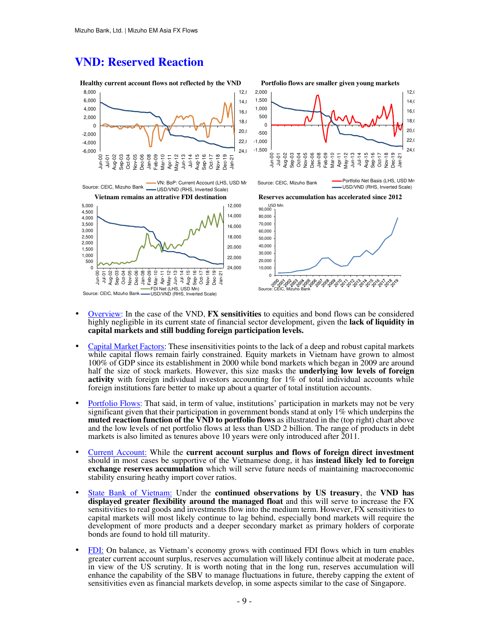#### **VND: Reserved Reaction**



- Overview: In the case of the VND, **FX sensitivities** to equities and bond flows can be considered highly negligible in its current state of financial sector development, given the **lack of liquidity in capital markets and still budding foreign participation levels.**
- Capital Market Factors: These insensitivities points to the lack of a deep and robust capital markets while capital flows remain fairly constrained. Equity markets in Vietnam have grown to almost 100% of GDP since its establishment in 2000 while bond markets which began in 2009 are around half the size of stock markets. However, this size masks the **underlying low levels of foreign activity** with foreign individual investors accounting for 1% of total individual accounts while foreign institutions fare better to make up about a quarter of total institution accounts.
- Portfolio Flows: That said, in term of value, institutions' participation in markets may not be very significant given that their participation in government bonds stand at only 1% which underpins the **muted reaction function of the VND to portfolio flows** as illustrated in the (top right) chart above and the low levels of net portfolio flows at less than USD 2 billion. The range of products in debt markets is also limited as tenures above 10 years were only introduced after 2011.
- Current Account: While the **current account surplus and flows of foreign direct investment** should in most cases be supportive of the Vietnamese dong, it has **instead likely led to foreign exchange reserves accumulation** which will serve future needs of maintaining macroeconomic stability ensuring heathy import cover ratios.
- State Bank of Vietnam: Under the **continued observations by US treasury**, the **VND has displayed greater flexibility around the managed float** and this will serve to increase the FX sensitivities to real goods and investments flow into the medium term. However, FX sensitivities to capital markets will most likely continue to lag behind, especially bond markets will require the development of more products and a deeper secondary market as primary holders of corporate bonds are found to hold till maturity.
- FDI: On balance, as Vietnam's economy grows with continued FDI flows which in turn enables greater current account surplus, reserves accumulation will likely continue albeit at moderate pace, in view of the US scrutiny. It is worth noting that in the long run, reserves accumulation will enhance the capability of the SBV to manage fluctuations in future, thereby capping the extent of sensitivities even as financial markets develop, in some aspects similar to the case of Singapore.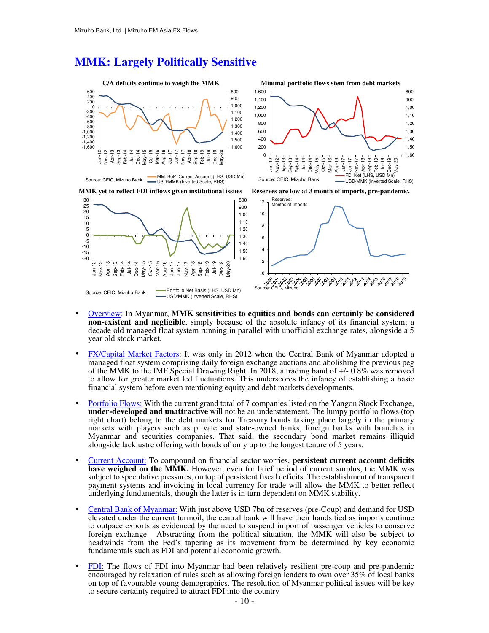#### **MMK: Largely Politically Sensitive**





**MMK yet to reflect FDI inflows given institutional issues Reserves are low at 3 month of imports, pre-pandemic.**





- Overview: In Myanmar, **MMK sensitivities to equities and bonds can certainly be considered non-existent and negligible**, simply because of the absolute infancy of its financial system; a decade old managed float system running in parallel with unofficial exchange rates, alongside a 5 year old stock market.
- FX/Capital Market Factors: It was only in 2012 when the Central Bank of Myanmar adopted a managed float system comprising daily foreign exchange auctions and abolishing the previous peg of the MMK to the IMF Special Drawing Right. In 2018, a trading band of +/- 0.8% was removed to allow for greater market led fluctuations. This underscores the infancy of establishing a basic financial system before even mentioning equity and debt markets developments.
- Portfolio Flows: With the current grand total of 7 companies listed on the Yangon Stock Exchange, **under-developed and unattractive** will not be an understatement. The lumpy portfolio flows (top right chart) belong to the debt markets for Treasury bonds taking place largely in the primary markets with players such as private and state-owned banks, foreign banks with branches in Myanmar and securities companies. That said, the secondary bond market remains illiquid alongside lacklustre offering with bonds of only up to the longest tenure of 5 years.
- Current Account: To compound on financial sector worries, **persistent current account deficits have weighed on the MMK.** However, even for brief period of current surplus, the MMK was subject to speculative pressures, on top of persistent fiscal deficits. The establishment of transparent payment systems and invoicing in local currency for trade will allow the MMK to better reflect underlying fundamentals, though the latter is in turn dependent on MMK stability.
- Central Bank of Myanmar: With just above USD 7bn of reserves (pre-Coup) and demand for USD elevated under the current turmoil, the central bank will have their hands tied as imports continue to outpace exports as evidenced by the need to suspend import of passenger vehicles to conserve foreign exchange. Abstracting from the political situation, the MMK will also be subject to headwinds from the Fed's tapering as its movement from be determined by key economic fundamentals such as FDI and potential economic growth.
- FDI: The flows of FDI into Myanmar had been relatively resilient pre-coup and pre-pandemic encouraged by relaxation of rules such as allowing foreign lenders to own over 35% of local banks on top of favourable young demographics. The resolution of Myanmar political issues will be key to secure certainty required to attract FDI into the country